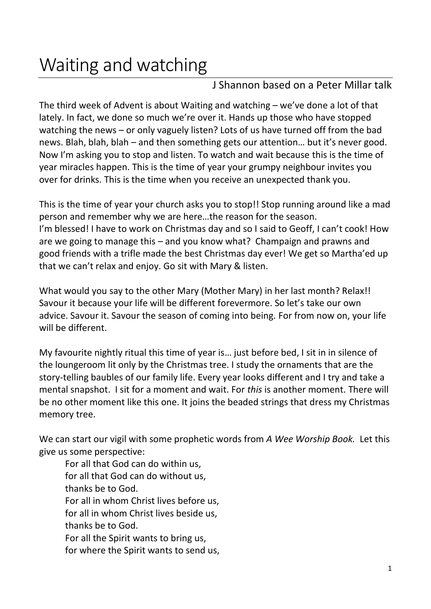## Waiting and watching

## J Shannon based on a Peter Millar talk

The third week of Advent is about Waiting and watching – we've done a lot of that lately. In fact, we done so much we're over it. Hands up those who have stopped watching the news – or only vaguely listen? Lots of us have turned off from the bad news. Blah, blah, blah – and then something gets our attention… but it's never good. Now I'm asking you to stop and listen. To watch and wait because this is the time of year miracles happen. This is the time of year your grumpy neighbour invites you over for drinks. This is the time when you receive an unexpected thank you.

This is the time of year your church asks you to stop!! Stop running around like a mad person and remember why we are here…the reason for the season. I'm blessed! I have to work on Christmas day and so I said to Geoff, I can't cook! How are we going to manage this – and you know what? Champaign and prawns and good friends with a trifle made the best Christmas day ever! We get so Martha'ed up that we can't relax and enjoy. Go sit with Mary & listen.

What would you say to the other Mary (Mother Mary) in her last month? Relax!! Savour it because your life will be different forevermore. So let's take our own advice. Savour it. Savour the season of coming into being. For from now on, your life will be different.

My favourite nightly ritual this time of year is… just before bed, I sit in in silence of the loungeroom lit only by the Christmas tree. I study the ornaments that are the story-telling baubles of our family life. Every year looks different and I try and take a mental snapshot. I sit for a moment and wait. For *this* is another moment. There will be no other moment like this one. It joins the beaded strings that dress my Christmas memory tree.

We can start our vigil with some prophetic words from *A Wee Worship Book.* Let this give us some perspective:

For all that God can do within us, for all that God can do without us, thanks be to God. For all in whom Christ lives before us, for all in whom Christ lives beside us, thanks be to God. For all the Spirit wants to bring us, for where the Spirit wants to send us,